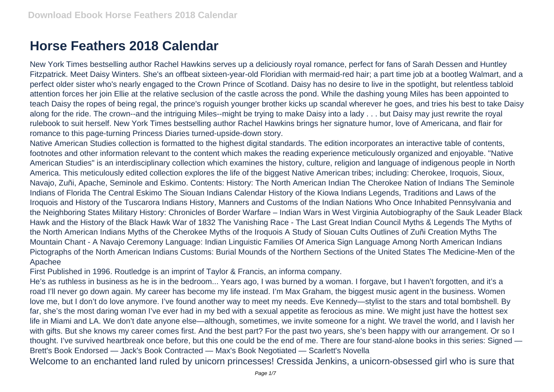## **Horse Feathers 2018 Calendar**

New York Times bestselling author Rachel Hawkins serves up a deliciously royal romance, perfect for fans of Sarah Dessen and Huntley Fitzpatrick. Meet Daisy Winters. She's an offbeat sixteen-year-old Floridian with mermaid-red hair; a part time job at a bootleg Walmart, and a perfect older sister who's nearly engaged to the Crown Prince of Scotland. Daisy has no desire to live in the spotlight, but relentless tabloid attention forces her join Ellie at the relative seclusion of the castle across the pond. While the dashing young Miles has been appointed to teach Daisy the ropes of being regal, the prince's roguish younger brother kicks up scandal wherever he goes, and tries his best to take Daisy along for the ride. The crown--and the intriguing Miles--might be trying to make Daisy into a lady . . . but Daisy may just rewrite the royal rulebook to suit herself. New York Times bestselling author Rachel Hawkins brings her signature humor, love of Americana, and flair for romance to this page-turning Princess Diaries turned-upside-down story.

Native American Studies collection is formatted to the highest digital standards. The edition incorporates an interactive table of contents, footnotes and other information relevant to the content which makes the reading experience meticulously organized and enjoyable. "Native American Studies" is an interdisciplinary collection which examines the history, culture, religion and language of indigenous people in North America. This meticulously edited collection explores the life of the biggest Native American tribes; including: Cherokee, Iroquois, Sioux, Navajo, Zuñi, Apache, Seminole and Eskimo. Contents: History: The North American Indian The Cherokee Nation of Indians The Seminole Indians of Florida The Central Eskimo The Siouan Indians Calendar History of the Kiowa Indians Legends, Traditions and Laws of the Iroquois and History of the Tuscarora Indians History, Manners and Customs of the Indian Nations Who Once Inhabited Pennsylvania and the Neighboring States Military History: Chronicles of Border Warfare – Indian Wars in West Virginia Autobiography of the Sauk Leader Black Hawk and the History of the Black Hawk War of 1832 The Vanishing Race - The Last Great Indian Council Myths & Legends The Myths of the North American Indians Myths of the Cherokee Myths of the Iroquois A Study of Siouan Cults Outlines of Zuñi Creation Myths The Mountain Chant - A Navajo Ceremony Language: Indian Linguistic Families Of America Sign Language Among North American Indians Pictographs of the North American Indians Customs: Burial Mounds of the Northern Sections of the United States The Medicine-Men of the Apachee

First Published in 1996. Routledge is an imprint of Taylor & Francis, an informa company.

He's as ruthless in business as he is in the bedroom... Years ago, I was burned by a woman. I forgave, but I haven't forgotten, and it's a road I'll never go down again. My career has become my life instead. I'm Max Graham, the biggest music agent in the business. Women love me, but I don't do love anymore. I've found another way to meet my needs. Eve Kennedy—stylist to the stars and total bombshell. By far, she's the most daring woman I've ever had in my bed with a sexual appetite as ferocious as mine. We might just have the hottest sex life in Miami and LA. We don't date anyone else—although, sometimes, we invite someone for a night. We travel the world, and I lavish her with gifts. But she knows my career comes first. And the best part? For the past two years, she's been happy with our arrangement. Or so I thought. I've survived heartbreak once before, but this one could be the end of me. There are four stand-alone books in this series: Signed — Brett's Book Endorsed — Jack's Book Contracted — Max's Book Negotiated — Scarlett's Novella

Welcome to an enchanted land ruled by unicorn princesses! Cressida Jenkins, a unicorn-obsessed girl who is sure that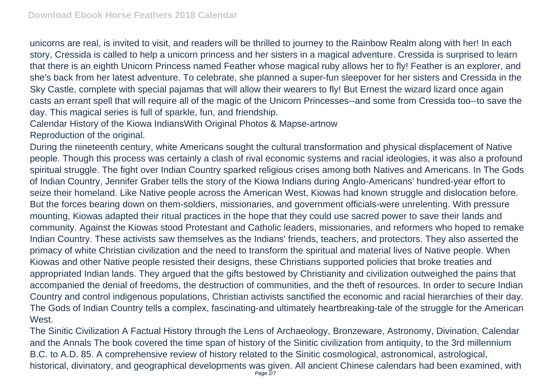unicorns are real, is invited to visit, and readers will be thrilled to journey to the Rainbow Realm along with her! In each story, Cressida is called to help a unicorn princess and her sisters in a magical adventure. Cressida is surprised to learn that there is an eighth Unicorn Princess named Feather whose magical ruby allows her to fly! Feather is an explorer, and she's back from her latest adventure. To celebrate, she planned a super-fun sleepover for her sisters and Cressida in the Sky Castle, complete with special pajamas that will allow their wearers to fly! But Ernest the wizard lizard once again casts an errant spell that will require all of the magic of the Unicorn Princesses--and some from Cressida too--to save the day. This magical series is full of sparkle, fun, and friendship.

Calendar History of the Kiowa IndiansWith Original Photos & Mapse-artnow

Reproduction of the original.

During the nineteenth century, white Americans sought the cultural transformation and physical displacement of Native people. Though this process was certainly a clash of rival economic systems and racial ideologies, it was also a profound spiritual struggle. The fight over Indian Country sparked religious crises among both Natives and Americans. In The Gods of Indian Country, Jennifer Graber tells the story of the Kiowa Indians during Anglo-Americans' hundred-year effort to seize their homeland. Like Native people across the American West, Kiowas had known struggle and dislocation before. But the forces bearing down on them-soldiers, missionaries, and government officials-were unrelenting. With pressure mounting, Kiowas adapted their ritual practices in the hope that they could use sacred power to save their lands and community. Against the Kiowas stood Protestant and Catholic leaders, missionaries, and reformers who hoped to remake Indian Country. These activists saw themselves as the Indians' friends, teachers, and protectors. They also asserted the primacy of white Christian civilization and the need to transform the spiritual and material lives of Native people. When Kiowas and other Native people resisted their designs, these Christians supported policies that broke treaties and appropriated Indian lands. They argued that the gifts bestowed by Christianity and civilization outweighed the pains that accompanied the denial of freedoms, the destruction of communities, and the theft of resources. In order to secure Indian Country and control indigenous populations, Christian activists sanctified the economic and racial hierarchies of their day. The Gods of Indian Country tells a complex, fascinating-and ultimately heartbreaking-tale of the struggle for the American West.

The Sinitic Civilization A Factual History through the Lens of Archaeology, Bronzeware, Astronomy, Divination, Calendar and the Annals The book covered the time span of history of the Sinitic civilization from antiquity, to the 3rd millennium B.C. to A.D. 85. A comprehensive review of history related to the Sinitic cosmological, astronomical, astrological, historical, divinatory, and geographical developments was given. All ancient Chinese calendars had been examined, with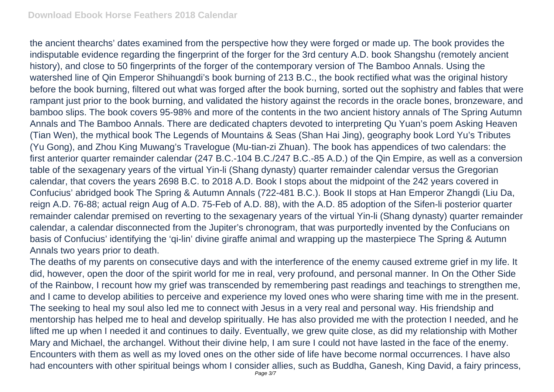the ancient thearchs' dates examined from the perspective how they were forged or made up. The book provides the indisputable evidence regarding the fingerprint of the forger for the 3rd century A.D. book Shangshu (remotely ancient history), and close to 50 fingerprints of the forger of the contemporary version of The Bamboo Annals. Using the watershed line of Qin Emperor Shihuangdi's book burning of 213 B.C., the book rectified what was the original history before the book burning, filtered out what was forged after the book burning, sorted out the sophistry and fables that were rampant just prior to the book burning, and validated the history against the records in the oracle bones, bronzeware, and bamboo slips. The book covers 95-98% and more of the contents in the two ancient history annals of The Spring Autumn Annals and The Bamboo Annals. There are dedicated chapters devoted to interpreting Qu Yuan's poem Asking Heaven (Tian Wen), the mythical book The Legends of Mountains & Seas (Shan Hai Jing), geography book Lord Yu's Tributes (Yu Gong), and Zhou King Muwang's Travelogue (Mu-tian-zi Zhuan). The book has appendices of two calendars: the first anterior quarter remainder calendar (247 B.C.-104 B.C./247 B.C.-85 A.D.) of the Qin Empire, as well as a conversion table of the sexagenary years of the virtual Yin-li (Shang dynasty) quarter remainder calendar versus the Gregorian calendar, that covers the years 2698 B.C. to 2018 A.D. Book I stops about the midpoint of the 242 years covered in Confucius' abridged book The Spring & Autumn Annals (722-481 B.C.). Book II stops at Han Emperor Zhangdi (Liu Da, reign A.D. 76-88; actual reign Aug of A.D. 75-Feb of A.D. 88), with the A.D. 85 adoption of the Sifen-li posterior quarter remainder calendar premised on reverting to the sexagenary years of the virtual Yin-li (Shang dynasty) quarter remainder calendar, a calendar disconnected from the Jupiter's chronogram, that was purportedly invented by the Confucians on basis of Confucius' identifying the 'qi-lin' divine giraffe animal and wrapping up the masterpiece The Spring & Autumn Annals two years prior to death.

The deaths of my parents on consecutive days and with the interference of the enemy caused extreme grief in my life. It did, however, open the door of the spirit world for me in real, very profound, and personal manner. In On the Other Side of the Rainbow, I recount how my grief was transcended by remembering past readings and teachings to strengthen me, and I came to develop abilities to perceive and experience my loved ones who were sharing time with me in the present. The seeking to heal my soul also led me to connect with Jesus in a very real and personal way. His friendship and mentorship has helped me to heal and develop spiritually. He has also provided me with the protection I needed, and he lifted me up when I needed it and continues to daily. Eventually, we grew quite close, as did my relationship with Mother Mary and Michael, the archangel. Without their divine help, I am sure I could not have lasted in the face of the enemy. Encounters with them as well as my loved ones on the other side of life have become normal occurrences. I have also had encounters with other spiritual beings whom I consider allies, such as Buddha, Ganesh, King David, a fairy princess,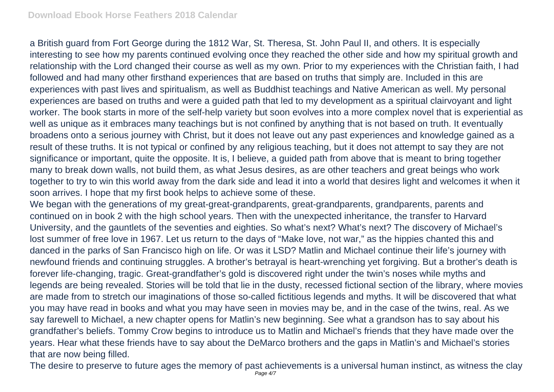a British guard from Fort George during the 1812 War, St. Theresa, St. John Paul II, and others. It is especially interesting to see how my parents continued evolving once they reached the other side and how my spiritual growth and relationship with the Lord changed their course as well as my own. Prior to my experiences with the Christian faith, I had followed and had many other firsthand experiences that are based on truths that simply are. Included in this are experiences with past lives and spiritualism, as well as Buddhist teachings and Native American as well. My personal experiences are based on truths and were a guided path that led to my development as a spiritual clairvoyant and light worker. The book starts in more of the self-help variety but soon evolves into a more complex novel that is experiential as well as unique as it embraces many teachings but is not confined by anything that is not based on truth. It eventually broadens onto a serious journey with Christ, but it does not leave out any past experiences and knowledge gained as a result of these truths. It is not typical or confined by any religious teaching, but it does not attempt to say they are not significance or important, quite the opposite. It is, I believe, a guided path from above that is meant to bring together many to break down walls, not build them, as what Jesus desires, as are other teachers and great beings who work together to try to win this world away from the dark side and lead it into a world that desires light and welcomes it when it soon arrives. I hope that my first book helps to achieve some of these.

We began with the generations of my great-great-grandparents, great-grandparents, grandparents, parents and continued on in book 2 with the high school years. Then with the unexpected inheritance, the transfer to Harvard University, and the gauntlets of the seventies and eighties. So what's next? What's next? The discovery of Michael's lost summer of free love in 1967. Let us return to the days of "Make love, not war," as the hippies chanted this and danced in the parks of San Francisco high on life. Or was it LSD? Matlin and Michael continue their life's journey with newfound friends and continuing struggles. A brother's betrayal is heart-wrenching yet forgiving. But a brother's death is forever life-changing, tragic. Great-grandfather's gold is discovered right under the twin's noses while myths and legends are being revealed. Stories will be told that lie in the dusty, recessed fictional section of the library, where movies are made from to stretch our imaginations of those so-called fictitious legends and myths. It will be discovered that what you may have read in books and what you may have seen in movies may be, and in the case of the twins, real. As we say farewell to Michael, a new chapter opens for Matlin's new beginning. See what a grandson has to say about his grandfather's beliefs. Tommy Crow begins to introduce us to Matlin and Michael's friends that they have made over the years. Hear what these friends have to say about the DeMarco brothers and the gaps in Matlin's and Michael's stories that are now being filled.

The desire to preserve to future ages the memory of past achievements is a universal human instinct, as witness the clay Page  $4/7$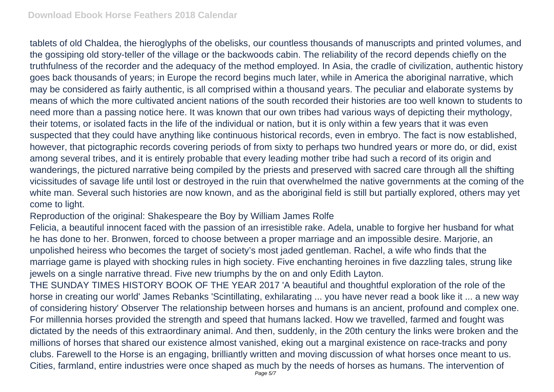tablets of old Chaldea, the hieroglyphs of the obelisks, our countless thousands of manuscripts and printed volumes, and the gossiping old story-teller of the village or the backwoods cabin. The reliability of the record depends chiefly on the truthfulness of the recorder and the adequacy of the method employed. In Asia, the cradle of civilization, authentic history goes back thousands of years; in Europe the record begins much later, while in America the aboriginal narrative, which may be considered as fairly authentic, is all comprised within a thousand years. The peculiar and elaborate systems by means of which the more cultivated ancient nations of the south recorded their histories are too well known to students to need more than a passing notice here. It was known that our own tribes had various ways of depicting their mythology, their totems, or isolated facts in the life of the individual or nation, but it is only within a few years that it was even suspected that they could have anything like continuous historical records, even in embryo. The fact is now established, however, that pictographic records covering periods of from sixty to perhaps two hundred years or more do, or did, exist among several tribes, and it is entirely probable that every leading mother tribe had such a record of its origin and wanderings, the pictured narrative being compiled by the priests and preserved with sacred care through all the shifting vicissitudes of savage life until lost or destroyed in the ruin that overwhelmed the native governments at the coming of the white man. Several such histories are now known, and as the aboriginal field is still but partially explored, others may yet come to light.

Reproduction of the original: Shakespeare the Boy by William James Rolfe

Felicia, a beautiful innocent faced with the passion of an irresistible rake. Adela, unable to forgive her husband for what he has done to her. Bronwen, forced to choose between a proper marriage and an impossible desire. Marjorie, an unpolished heiress who becomes the target of society's most jaded gentleman. Rachel, a wife who finds that the marriage game is played with shocking rules in high society. Five enchanting heroines in five dazzling tales, strung like jewels on a single narrative thread. Five new triumphs by the on and only Edith Layton.

THE SUNDAY TIMES HISTORY BOOK OF THE YEAR 2017 'A beautiful and thoughtful exploration of the role of the horse in creating our world' James Rebanks 'Scintillating, exhilarating ... you have never read a book like it ... a new way of considering history' Observer The relationship between horses and humans is an ancient, profound and complex one. For millennia horses provided the strength and speed that humans lacked. How we travelled, farmed and fought was dictated by the needs of this extraordinary animal. And then, suddenly, in the 20th century the links were broken and the millions of horses that shared our existence almost vanished, eking out a marginal existence on race-tracks and pony clubs. Farewell to the Horse is an engaging, brilliantly written and moving discussion of what horses once meant to us. Cities, farmland, entire industries were once shaped as much by the needs of horses as humans. The intervention of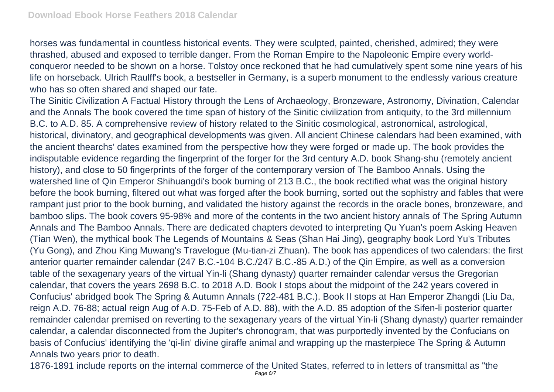horses was fundamental in countless historical events. They were sculpted, painted, cherished, admired; they were thrashed, abused and exposed to terrible danger. From the Roman Empire to the Napoleonic Empire every worldconqueror needed to be shown on a horse. Tolstoy once reckoned that he had cumulatively spent some nine years of his life on horseback. Ulrich Raulff's book, a bestseller in Germany, is a superb monument to the endlessly various creature who has so often shared and shaped our fate.

The Sinitic Civilization A Factual History through the Lens of Archaeology, Bronzeware, Astronomy, Divination, Calendar and the Annals The book covered the time span of history of the Sinitic civilization from antiquity, to the 3rd millennium B.C. to A.D. 85. A comprehensive review of history related to the Sinitic cosmological, astronomical, astrological, historical, divinatory, and geographical developments was given. All ancient Chinese calendars had been examined, with the ancient thearchs' dates examined from the perspective how they were forged or made up. The book provides the indisputable evidence regarding the fingerprint of the forger for the 3rd century A.D. book Shang-shu (remotely ancient history), and close to 50 fingerprints of the forger of the contemporary version of The Bamboo Annals. Using the watershed line of Qin Emperor Shihuangdi's book burning of 213 B.C., the book rectified what was the original history before the book burning, filtered out what was forged after the book burning, sorted out the sophistry and fables that were rampant just prior to the book burning, and validated the history against the records in the oracle bones, bronzeware, and bamboo slips. The book covers 95-98% and more of the contents in the two ancient history annals of The Spring Autumn Annals and The Bamboo Annals. There are dedicated chapters devoted to interpreting Qu Yuan's poem Asking Heaven (Tian Wen), the mythical book The Legends of Mountains & Seas (Shan Hai Jing), geography book Lord Yu's Tributes (Yu Gong), and Zhou King Muwang's Travelogue (Mu-tian-zi Zhuan). The book has appendices of two calendars: the first anterior quarter remainder calendar (247 B.C.-104 B.C./247 B.C.-85 A.D.) of the Qin Empire, as well as a conversion table of the sexagenary years of the virtual Yin-li (Shang dynasty) quarter remainder calendar versus the Gregorian calendar, that covers the years 2698 B.C. to 2018 A.D. Book I stops about the midpoint of the 242 years covered in Confucius' abridged book The Spring & Autumn Annals (722-481 B.C.). Book II stops at Han Emperor Zhangdi (Liu Da, reign A.D. 76-88; actual reign Aug of A.D. 75-Feb of A.D. 88), with the A.D. 85 adoption of the Sifen-li posterior quarter remainder calendar premised on reverting to the sexagenary years of the virtual Yin-li (Shang dynasty) quarter remainder calendar, a calendar disconnected from the Jupiter's chronogram, that was purportedly invented by the Confucians on basis of Confucius' identifying the 'qi-lin' divine giraffe animal and wrapping up the masterpiece The Spring & Autumn Annals two years prior to death.

1876-1891 include reports on the internal commerce of the United States, referred to in letters of transmittal as "the